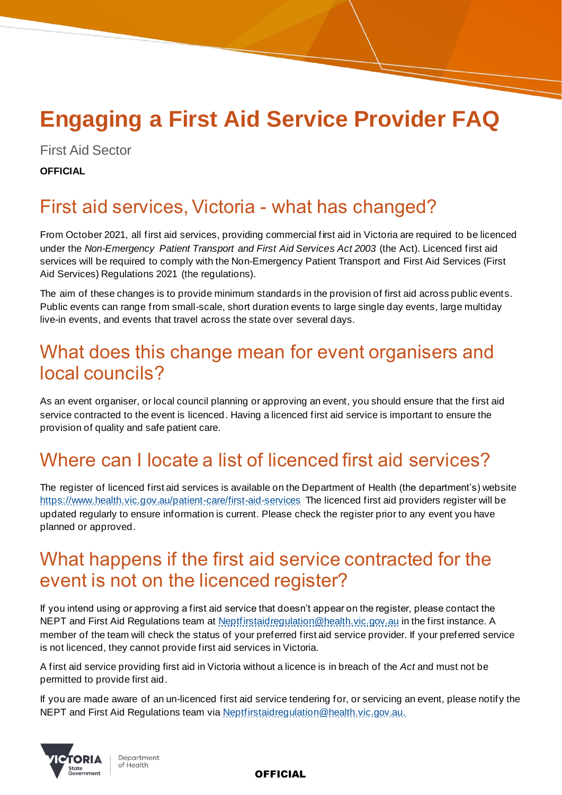# **Engaging a First Aid Service Provider FAQ**

First Aid Sector

**OFFICIAL**

# First aid services, Victoria - what has changed?

From October 2021, all first aid services, providing commercial first aid in Victoria are required to be licenced under the *Non-Emergency Patient Transport and First Aid Services Act 2003* (the Act). Licenced first aid services will be required to comply with the Non-Emergency Patient Transport and First Aid Services (First Aid Services) Regulations 2021 (the regulations).

The aim of these changes is to provide minimum standards in the provision of first aid across public events. Public events can range from small-scale, short duration events to large single day events, large multiday live-in events, and events that travel across the state over several days.

# What does this change mean for event organisers and local councils?

As an event organiser, or local council planning or approving an event, you should ensure that the first aid service contracted to the event is licenced. Having a licenced first aid service is important to ensure the provision of quality and safe patient care.

# Where can I locate a list of licenced first aid services?

The register of licenced first aid services is available on the Department of Health (the department's) website <https://www.health.vic.gov.au/patient-care/first-aid-services> The licenced first aid providers register will be updated regularly to ensure information is current. Please check the register prior to any event you have planned or approved.

# What happens if the first aid service contracted for the event is not on the licenced register?

If you intend using or approving a first aid service that doesn't appear on the register, please contact the NEPT and First Aid Regulations team at [Neptfirstaidregulation@health.vic.gov.au](mailto:Neptfirstaidregulation@health.vic.gov.au) in the first instance. A member of the team will check the status of your preferred first aid service provider. If your preferred service is not licenced, they cannot provide first aid services in Victoria.

A first aid service providing first aid in Victoria without a licence is in breach of the *Act* and must not be permitted to provide first aid.

If you are made aware of an un-licenced first aid service tendering for, or servicing an event, please notify the NEPT and First Aid Regulations team via [Neptfirstaidregulation@health.vic.gov.au.](mailto:Neptfirstaidregulation@health.vic.gov.au)



Department of Health

OFFICIAL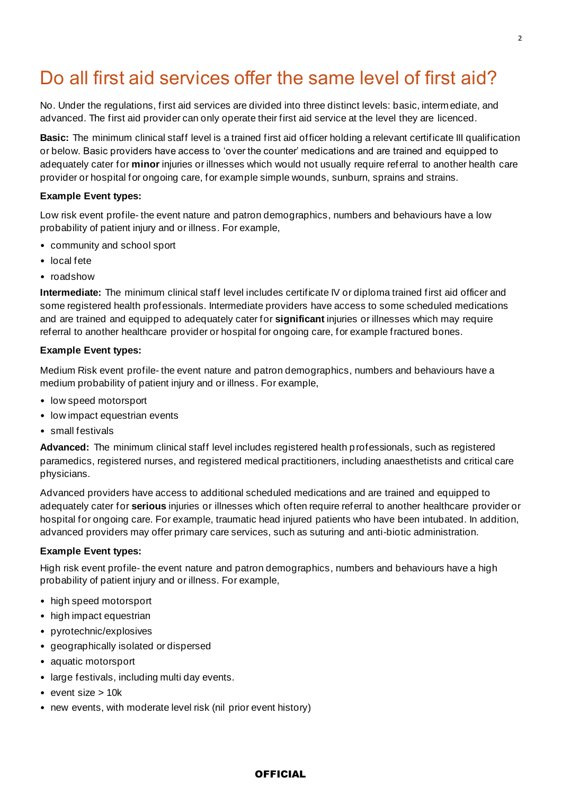# Do all first aid services offer the same level of first aid?

No. Under the regulations, first aid services are divided into three distinct levels: basic, intermediate, and advanced. The first aid provider can only operate their first aid service at the level they are licenced.

**Basic:** The minimum clinical staff level is a trained first aid officer holding a relevant certificate III qualification or below. Basic providers have access to 'over the counter' medications and are trained and equipped to adequately cater for **minor** injuries or illnesses which would not usually require referral to another health care provider or hospital for ongoing care, for example simple wounds, sunburn, sprains and strains.

#### **Example Event types:**

Low risk event profile- the event nature and patron demographics, numbers and behaviours have a low probability of patient injury and or illness. For example,

- community and school sport
- local fete
- roadshow

**Intermediate:** The minimum clinical staff level includes certificate IV or diploma trained first aid officer and some registered health professionals. Intermediate providers have access to some scheduled medications and are trained and equipped to adequately cater for **significant** injuries or illnesses which may require referral to another healthcare provider or hospital for ongoing care, for example fractured bones.

#### **Example Event types:**

Medium Risk event profile- the event nature and patron demographics, numbers and behaviours have a medium probability of patient injury and or illness. For example,

- low speed motorsport
- low impact equestrian events
- small festivals

**Advanced:** The minimum clinical staff level includes registered health professionals, such as registered paramedics, registered nurses, and registered medical practitioners, including anaesthetists and critical care physicians.

Advanced providers have access to additional scheduled medications and are trained and equipped to adequately cater for **serious** injuries or illnesses which often require referral to another healthcare provider or hospital for ongoing care. For example, traumatic head injured patients who have been intubated. In addition, advanced providers may offer primary care services, such as suturing and anti-biotic administration.

#### **Example Event types:**

High risk event profile- the event nature and patron demographics, numbers and behaviours have a high probability of patient injury and or illness. For example,

- high speed motorsport
- high impact equestrian
- pyrotechnic/explosives
- geographically isolated or dispersed
- aquatic motorsport
- large festivals, including multi day events.
- event size  $> 10k$
- new events, with moderate level risk (nil prior event history)

#### **OFFICIAL**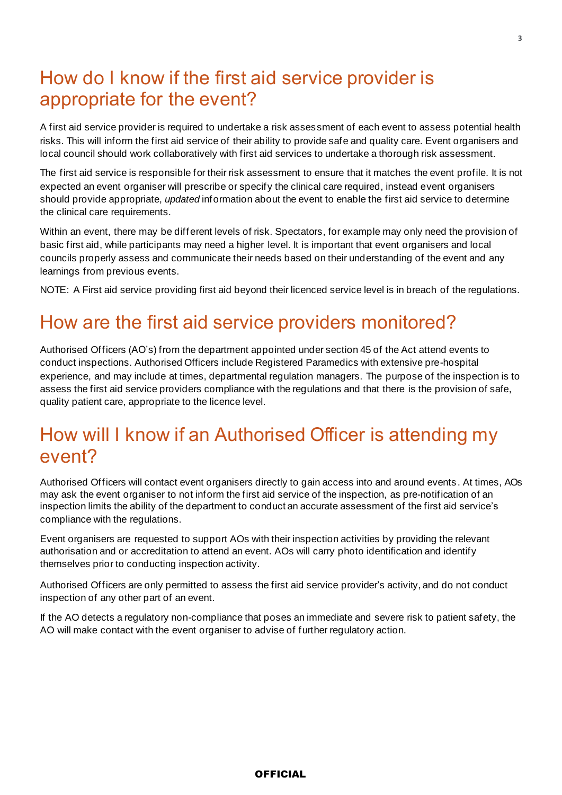## How do I know if the first aid service provider is appropriate for the event?

A first aid service provider is required to undertake a risk assessment of each event to assess potential health risks. This will inform the first aid service of their ability to provide safe and quality care. Event organisers and local council should work collaboratively with first aid services to undertake a thorough risk assessment.

The first aid service is responsible for their risk assessment to ensure that it matches the event profile. It is not expected an event organiser will prescribe or specify the clinical care required, instead event organisers should provide appropriate, *updated* information about the event to enable the first aid service to determine the clinical care requirements.

Within an event, there may be different levels of risk. Spectators, for example may only need the provision of basic first aid, while participants may need a higher level. It is important that event organisers and local councils properly assess and communicate their needs based on their understanding of the event and any learnings from previous events.

NOTE: A First aid service providing first aid beyond their licenced service level is in breach of the regulations.

### How are the first aid service providers monitored?

Authorised Officers (AO's) from the department appointed under section 45 of the Act attend events to conduct inspections. Authorised Officers include Registered Paramedics with extensive pre-hospital experience, and may include at times, departmental regulation managers. The purpose of the inspection is to assess the first aid service providers compliance with the regulations and that there is the provision of safe, quality patient care, appropriate to the licence level.

### How will I know if an Authorised Officer is attending my event?

Authorised Officers will contact event organisers directly to gain access into and around events . At times, AOs may ask the event organiser to not inform the first aid service of the inspection, as pre-notification of an inspection limits the ability of the department to conduct an accurate assessment of the first aid service's compliance with the regulations.

Event organisers are requested to support AOs with their inspection activities by providing the relevant authorisation and or accreditation to attend an event. AOs will carry photo identification and identify themselves prior to conducting inspection activity.

Authorised Officers are only permitted to assess the first aid service provider's activity, and do not conduct inspection of any other part of an event.

If the AO detects a regulatory non-compliance that poses an immediate and severe risk to patient safety, the AO will make contact with the event organiser to advise of further regulatory action.

#### **OFFICIAL**